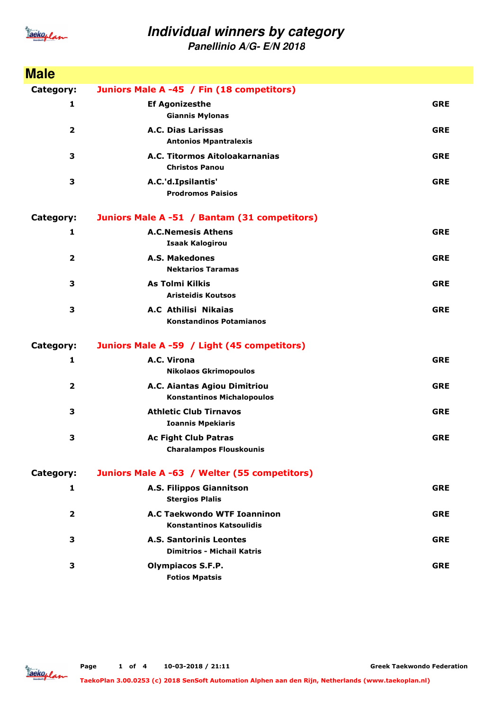

**Panellinio A/G- E/N 2018**

| <b>Male</b>             |                                                                       |            |
|-------------------------|-----------------------------------------------------------------------|------------|
| Category:               | Juniors Male A -45 / Fin (18 competitors)                             |            |
| 1                       | <b>Ef Agonizesthe</b><br><b>Giannis Mylonas</b>                       | <b>GRE</b> |
| $\overline{\mathbf{2}}$ | A.C. Dias Larissas<br><b>Antonios Mpantralexis</b>                    | <b>GRE</b> |
| 3                       | A.C. Titormos Aitoloakarnanias<br><b>Christos Panou</b>               | <b>GRE</b> |
| 3                       | A.C.'d.Ipsilantis'<br><b>Prodromos Paisios</b>                        | <b>GRE</b> |
| Category:               | Juniors Male A -51 / Bantam (31 competitors)                          |            |
| 1                       | <b>A.C.Nemesis Athens</b><br><b>Isaak Kalogirou</b>                   | <b>GRE</b> |
| $\overline{\mathbf{2}}$ | <b>A.S. Makedones</b><br><b>Nektarios Taramas</b>                     | <b>GRE</b> |
| 3                       | As Tolmi Kilkis<br><b>Aristeidis Koutsos</b>                          | <b>GRE</b> |
| 3                       | A.C Athilisi Nikaias<br><b>Konstandinos Potamianos</b>                | <b>GRE</b> |
| <b>Category:</b>        | Juniors Male A -59 / Light (45 competitors)                           |            |
| 1                       | A.C. Virona<br><b>Nikolaos Gkrimopoulos</b>                           | <b>GRE</b> |
| $\mathbf{2}$            | A.C. Aiantas Agiou Dimitriou<br><b>Konstantinos Michalopoulos</b>     | <b>GRE</b> |
| 3                       | <b>Athletic Club Tirnavos</b><br><b>Ioannis Mpekiaris</b>             | <b>GRE</b> |
| 3                       | <b>Ac Fight Club Patras</b><br><b>Charalampos Flouskounis</b>         | <b>GRE</b> |
| Category:               | Juniors Male A -63 / Welter (55 competitors)                          |            |
| 1                       | A.S. Filippos Giannitson<br><b>Stergios Plalis</b>                    | <b>GRE</b> |
| $\overline{2}$          | <b>A.C Taekwondo WTF Ioanninon</b><br><b>Konstantinos Katsoulidis</b> | <b>GRE</b> |
| 3                       | <b>A.S. Santorinis Leontes</b><br><b>Dimitrios - Michail Katris</b>   | <b>GRE</b> |
| 3                       | <b>Olympiacos S.F.P.</b><br><b>Fotios Mpatsis</b>                     | <b>GRE</b> |

**Greek Taekwondo Federation**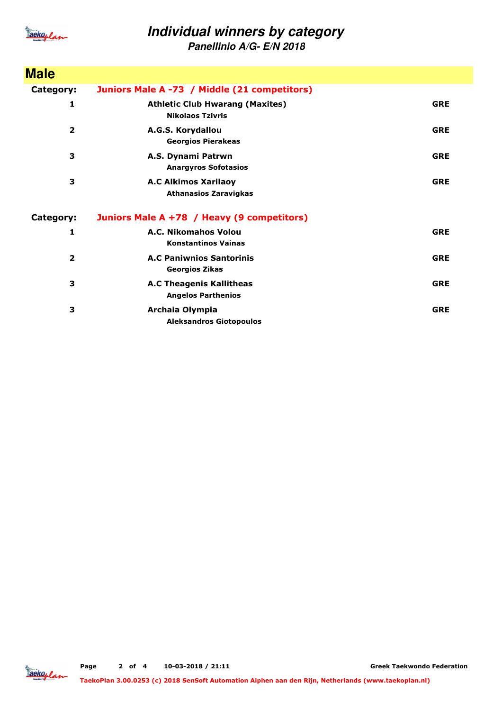

**Panellinio A/G- E/N 2018**

| <b>Male</b>  |                                                                   |            |
|--------------|-------------------------------------------------------------------|------------|
| Category:    | Juniors Male A -73 / Middle (21 competitors)                      |            |
| 1            | <b>Athletic Club Hwarang (Maxites)</b><br><b>Nikolaos Tzivris</b> | <b>GRE</b> |
| $\mathbf{z}$ | A.G.S. Korydallou<br><b>Georgios Pierakeas</b>                    | <b>GRE</b> |
| 3            | A.S. Dynami Patrwn<br><b>Anargyros Sofotasios</b>                 | <b>GRE</b> |
| 3            | <b>A.C Alkimos Xarilaoy</b><br><b>Athanasios Zaravigkas</b>       | <b>GRE</b> |
| Category:    | Juniors Male A +78 / Heavy (9 competitors)                        |            |
| 1            | A.C. Nikomahos Volou<br><b>Konstantinos Vainas</b>                | <b>GRE</b> |
| 2            | <b>A.C Paniwnios Santorinis</b><br><b>Georgios Zikas</b>          | <b>GRE</b> |
| 3            | <b>A.C Theagenis Kallitheas</b><br><b>Angelos Parthenios</b>      | <b>GRE</b> |
| 3            | Archaia Olympia<br><b>Aleksandros Giotopoulos</b>                 | <b>GRE</b> |

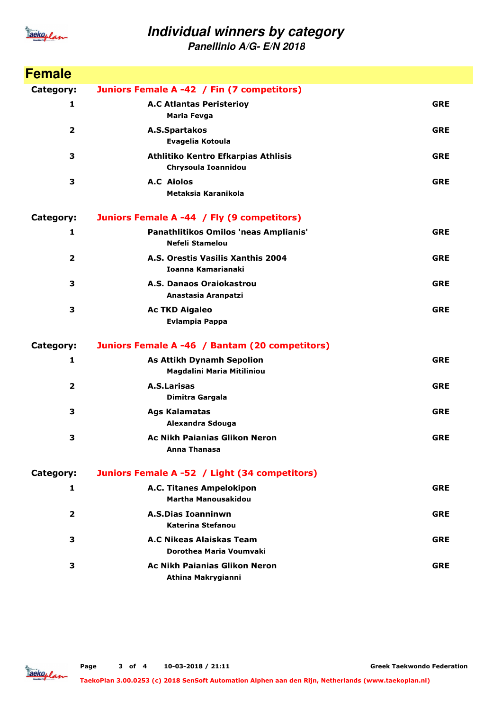

**Panellinio A/G- E/N 2018**

| <b>Female</b>           |                                                                 |            |
|-------------------------|-----------------------------------------------------------------|------------|
| Category:               | Juniors Female A -42 / Fin (7 competitors)                      |            |
| 1                       | <b>A.C Atlantas Peristerioy</b><br><b>Maria Fevga</b>           | <b>GRE</b> |
| $\overline{\mathbf{2}}$ | A.S.Spartakos<br>Evagelia Kotoula                               | <b>GRE</b> |
| 3                       | Athlitiko Kentro Efkarpias Athlisis<br>Chrysoula Ioannidou      | <b>GRE</b> |
| 3                       | <b>A.C</b> Aiolos<br>Metaksia Karanikola                        | <b>GRE</b> |
| Category:               | Juniors Female A -44 / Fly (9 competitors)                      |            |
| $\mathbf{1}$            | Panathlitikos Omilos 'neas Amplianis'<br><b>Nefeli Stamelou</b> | <b>GRE</b> |
| $\overline{2}$          | A.S. Orestis Vasilis Xanthis 2004<br><b>Ioanna Kamarianaki</b>  | <b>GRE</b> |
| 3                       | A.S. Danaos Oraiokastrou<br>Anastasia Aranpatzi                 | <b>GRE</b> |
| 3                       | <b>Ac TKD Aigaleo</b><br><b>Evlampia Pappa</b>                  | <b>GRE</b> |
| <b>Category:</b>        | Juniors Female A -46 / Bantam (20 competitors)                  |            |
| 1                       | <b>As Attikh Dynamh Sepolion</b><br>Magdalini Maria Mitiliniou  | <b>GRE</b> |
| $\overline{\mathbf{2}}$ | <b>A.S.Larisas</b><br>Dimitra Gargala                           | <b>GRE</b> |
| 3                       | <b>Ags Kalamatas</b><br>Alexandra Sdouga                        | <b>GRE</b> |
| 3                       | <b>Ac Nikh Paianias Glikon Neron</b><br><b>Anna Thanasa</b>     | <b>GRE</b> |
| Category:               | Juniors Female A -52 / Light (34 competitors)                   |            |
| 1                       | A.C. Titanes Ampelokipon<br>Martha Manousakidou                 | <b>GRE</b> |
| 2                       | <b>A.S.Dias Ioanninwn</b><br>Katerina Stefanou                  | <b>GRE</b> |
| 3                       | A.C Nikeas Alaiskas Team<br>Dorothea Maria Voumvaki             | <b>GRE</b> |
| 3                       | <b>Ac Nikh Paianias Glikon Neron</b><br>Athina Makrygianni      | <b>GRE</b> |